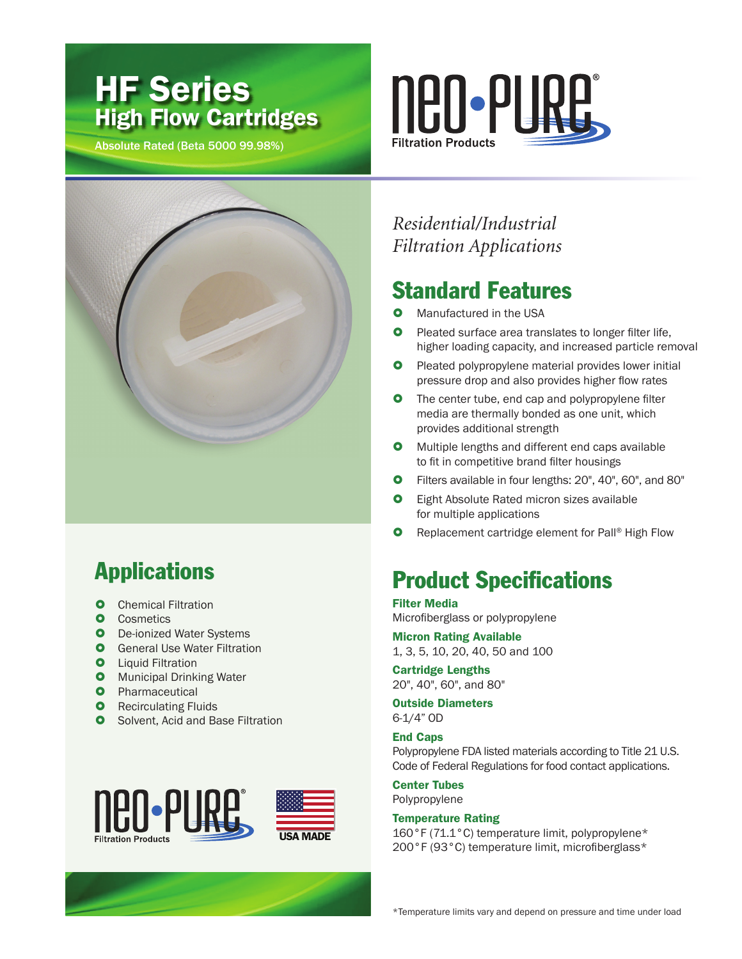# HF Series High Flow Cartridges

Absolute Rated (Beta 5000 99.98%)





# Applications

- **O** Chemical Filtration
- **Cosmetics**
- **O** De-ionized Water Systems
- **O** General Use Water Filtration
- **O** Liquid Filtration
- **O** Municipal Drinking Water
- **O** Pharmaceutical
- **O** Recirculating Fluids
- **O** Solvent, Acid and Base Filtration



*Residential/Industrial Filtration Applications*

#### Standard Features

- Manufactured in the USA
- **O** Pleated surface area translates to longer filter life, higher loading capacity, and increased particle removal
- **O** Pleated polypropylene material provides lower initial pressure drop and also provides higher flow rates
- **O** The center tube, end cap and polypropylene filter media are thermally bonded as one unit, which provides additional strength
- **O** Multiple lengths and different end caps available to fit in competitive brand filter housings
- £ Filters available in four lengths: 20", 40", 60", and 80"
- **O** Eight Absolute Rated micron sizes available for multiple applications
- **O** Replacement cartridge element for Pall® High Flow

### **Product Specifications**

Filter Media Microfiberglass or polypropylene

Micron Rating Available 1, 3, 5, 10, 20, 40, 50 and 100

Cartridge Lengths 20", 40", 60", and 80"

Outside Diameters 6-1/4" OD

#### End Caps

Polypropylene FDA listed materials according to Title 21 U.S. Code of Federal Regulations for food contact applications.

#### Center Tubes Polypropylene

Temperature Rating

160°F (71.1°C) temperature limit, polypropylene\* 200°F (93°C) temperature limit, microfiberglass\*